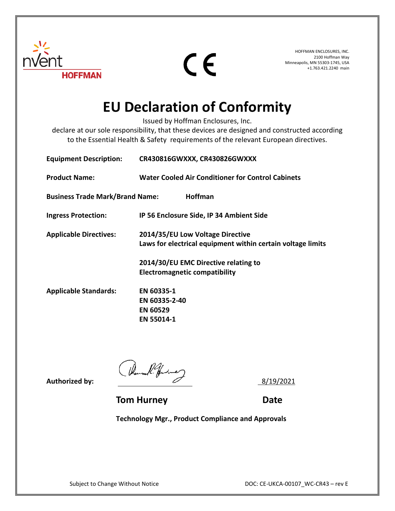

 $C \in$ 

HOFFMAN ENCLOSURES, INC. 2100 Hoffman Way Minneapolis, MN 55303-1745, USA +1.763.421.2240 main

## **EU Declaration of Conformity**

Issued by Hoffman Enclosures, Inc.

declare at our sole responsibility, that these devices are designed and constructed according to the Essential Health & Safety requirements of the relevant European directives.

| <b>Equipment Description:</b>          | CR430816GWXXX, CR430826GWXXX                                                                                                            |
|----------------------------------------|-----------------------------------------------------------------------------------------------------------------------------------------|
| <b>Product Name:</b>                   | <b>Water Cooled Air Conditioner for Control Cabinets</b>                                                                                |
| <b>Business Trade Mark/Brand Name:</b> | <b>Hoffman</b>                                                                                                                          |
| <b>Ingress Protection:</b>             | IP 56 Enclosure Side, IP 34 Ambient Side                                                                                                |
| <b>Applicable Directives:</b>          | 2014/35/EU Low Voltage Directive<br>Laws for electrical equipment within certain voltage limits<br>2014/30/EU EMC Directive relating to |
|                                        | <b>Electromagnetic compatibility</b>                                                                                                    |
| <b>Applicable Standards:</b>           | EN 60335-1                                                                                                                              |
|                                        | EN 60335-2-40                                                                                                                           |
|                                        | <b>EN 60529</b>                                                                                                                         |
|                                        | EN 55014-1                                                                                                                              |

Authorized by:  $\sqrt{h_{\text{bound}}/h_{\text{bound}}/h_{\text{bound}}}$ 

**Tom Hurney Communication Communication Communication Date** 

**Technology Mgr., Product Compliance and Approvals**